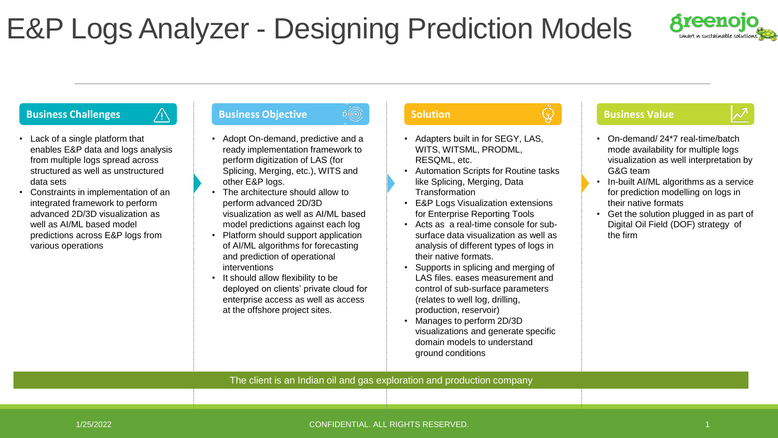

 $|\mathcal{N}|$ 

## **Business Challenges**  $\hat{A}$  **Business Objective Solution Solution Business Value**

- Lack of a single platform that enables E&P data and logs analysis from multiple logs spread across structured as well as unstructured data sets
- Constraints in implementation of an integrated framework to perform advanced 2D/3D visualization as well as AI/ML based model predictions across E&P logs from various operations

- Adopt On-demand, predictive and a ready implementation framework to perform digitization of LAS (for Splicing, Merging, etc.), WITS and other E&P logs.
- The architecture should allow to perform advanced 2D/3D visualization as well as AI/ML based model predictions against each log
- Platform should support application of AI/ML algorithms for forecasting and prediction of operational interventions
- It should allow flexibility to be deployed on clients' private cloud for enterprise access as well as access at the offshore project sites.

- Adapters built in for SEGY, LAS, WITS, WITSML, PRODML, RESQML, etc.
- Automation Scripts for Routine tasks like Splicing, Merging, Data **Transformation**
- E&P Logs Visualization extensions for Enterprise Reporting Tools
- Acts as a real-time console for subsurface data visualization as well as analysis of different types of logs in their native formats.
- Supports in splicing and merging of LAS files. eases measurement and control of sub-surface parameters (relates to well log, drilling, production, reservoir)
- Manages to perform 2D/3D visualizations and generate specific domain models to understand ground conditions

- On-demand/ 24\*7 real-time/batch mode availability for multiple logs visualization as well interpretation by G&G team
- In-built AI/ML algorithms as a service for prediction modelling on logs in their native formats
- Get the solution plugged in as part of Digital Oil Field (DOF) strategy of the firm

### The client is an Indian oil and gas exploration and production company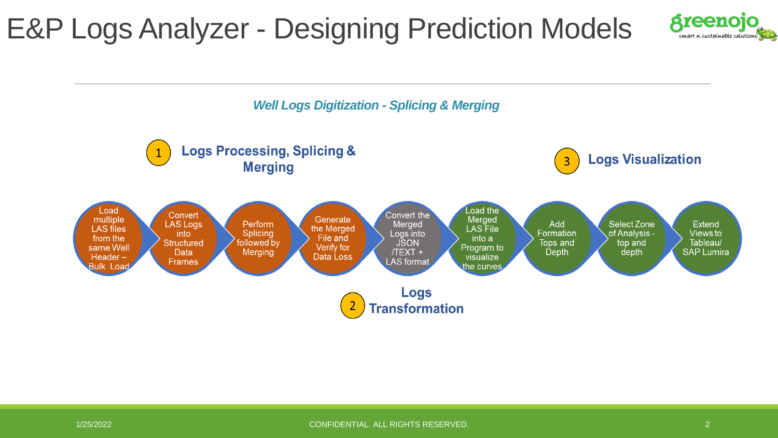

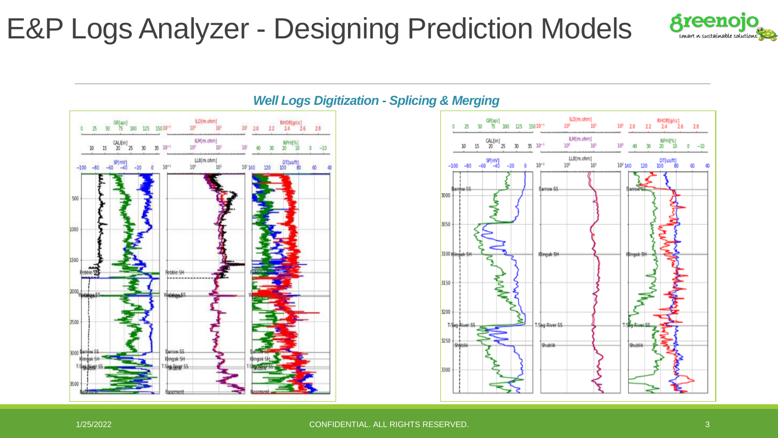

*Well Logs Digitization - Splicing & Merging*

500

1000

2500

3000



 $0 -10$ 

60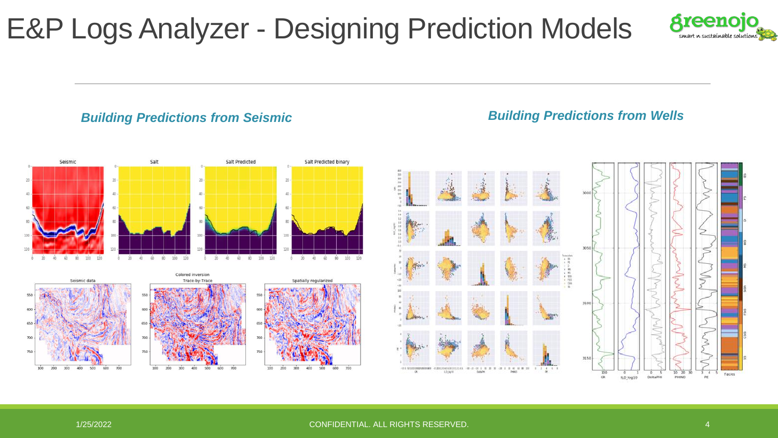### *Building Predictions from Seismic Building Predictions from Wells*

## Seismic Salt Salt Predicted Salt Predicted binary 100 120





**Areenojo** smart n sustaínable solutíons